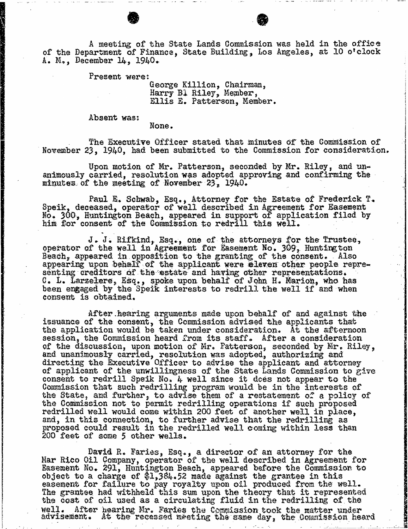A meeting of the State Lands Commission was held in the office of the Department of Finance, State Building, Los Angeles, at 10 o'clock A. M., December 14, 1940.

Present were:

George Killion, Chairm Harry B. Riley, Memb Ellis E. Patterson, Member.

Absent was:

None .

The Executive Officer stated that minutes of the Commission of November 23, 1940, had been submitted to the Commission for consideration.

Upon motion of Mr. Patterson, seconded by Mr. Riley, and un- animously carried, resolution was adopted approving and confirming the minutes of the meeting of November 23, 1940.

Paul E. Schwab, Esq., Attorney for the Estate of Frederick T.<br>Speik, deceased, operator of well described in Agreement for Easement No. 300, Huntington Beach, appeared in support of application filed by him for consent of the Commission to redrill this well.

J. J. Rifkind, Esq., one of the attorneys for the Trustee, operator of the well in Agreement for Easement No. 309, Huntington Beach, appeared in opposition to the granting of the consent. . Also appearing upon behalf of the applicant were eleven other people representing creditors of the estate and having other representations.<br>C. L. Larzelere, Esq., spoke upon behalf of John H. Marion, who has been engaged by the Speik interests to redrill the well if and when consent is obtained.

After hearing arguments made upon behalf of and against the issuance of the consent, the Commission advised the applicants that the application would be taken under consideration. At the afternoon session, the Commission heard from its staff. After a consideration of the discussion, upon motion of Mr. Patterson, seconded by Mr. Riley, and unanimously carried, resolution was adopted, authorizing and all and the series and the series and the series of the series of the series of the series of the series of the series of the series of the series of the ser directing the Executive Officer to advise the applica of applicant of the unwillingness of the State Lands Commission to give consent to redrill Speik No. 4 well since it does not appear to the Commission that such redrilling program would be in the interests of the State, and further, to advise them of a restatement of a policy of the Commission not to permit redrilling operations if such proposed redrilled well would come within 200 feet of another well in place, and, in this connection, to further advise that the proposed could result in the redrilled well coming with less than  $\kappa$ 200 feet of some 5 other wells.

David R. Faries, Esq., a director of an attorney for the Mar Rico Oil Company, operator of the well described in Agreement for Easement No. 291, Huntington Beach, appeared before the Commission to object to a charge of \$1,384.52 made against the grantee in this easement for failure to pay royalty upon oil produced from the well. The grantee had withheld this sum upon the theory that it represented the cost of oil used as a circulating fluid in the redrilling of the<br>well. After hearing Mr. Faries the Commission took the matter under After hearing Mr. Faries the Commission took the matter under advisement. At the recessed meeting the same day, the Commission heard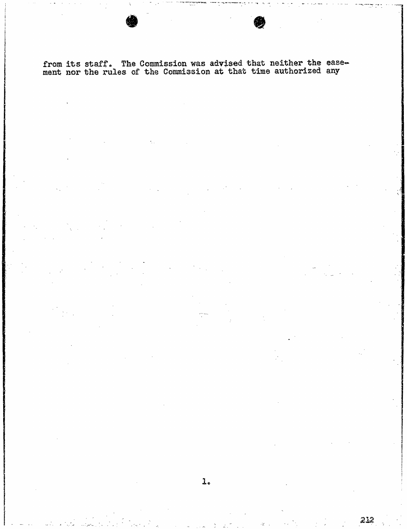from the state is state commission and advised that the exmann nor one rules of one commission at one commission

212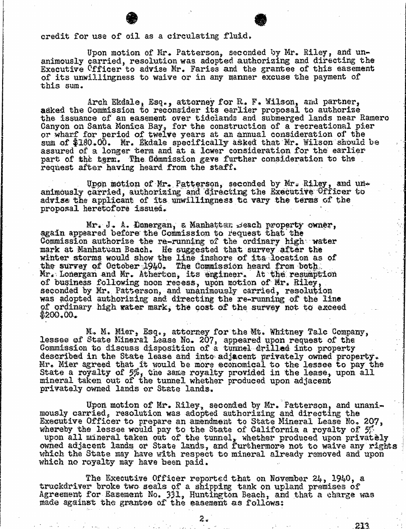## credit for use of oil as a circulating fluid.

Upon motion of Mr. Patterson, seconded by Mr. Riley, and un- animously carried, resolution was adopted authorising and directing the Executive Cfficer to advise Mr. Faries and the grantee of this easement of its unwillingness to waive or in any manner excuse the payment of this sum.

Arch Ekdale, Esq., attorney for R. F. Wilson, and partner, and partner, and proposal to the issuance of an easement over tidelands and submerged lands i Canyon on Santa Monica Bay, for the construction of a recreational pier or wharf for period of twelve years at an annual consideration of the sum of \$180.00. Mr. Ekdale specifically asked that Mr. Wilson should be assured of a longer term and at a lower consideration for the earlier part of the term. The Commission gave further consideration to the request after having heard from the staff.

Upon motion of Mr. Patterson, seconded by Mr. Riley, and un- animously carried, authorizing and directing the Executive Officer to advise the applicant of its unwillingness to vary the terms of the proposal heretofore issued.

Mr. J. A. Donergan, & Manhatten Beach property owner, again appeared before the Commission to request that the Commission authorize the re-running of the ordinary high water mark at Manhattan Beach. He suggested that survey after the winter storms would show the line inshore of its location as of the survey of October 1940. The Commission heard from both Mr. Lonergan and Mr. Atherton, its engineer. At the resumption of business following noon recess, upon motion of Mr. Riley, seconded by Mr. Patterson, and unanimously carried, resolution was adopted authorizing and directing the re-running of the line of ordinary high water mark, the cost of the survey not to exceed \$200.00.

M. M. Mier, Esq., attorney for the Mt. Whitney Talc Company, lessee of State Mineral Lease No. 207, appeared upon request of the Commission to discuss disposition of a tunnel drilled into property described in the State lease and into adjacent privately owned property. Mr. Mier agreed that it would be more economical to the lessee to State a royalty of  $5\%$ , the same royalty provided in the lease, mineral taken out of the tunnel whether produced upon privately owned lands or State lands.

Upon motion of Mr. Riley, seconded by Mr. Patterson, and usly carried, resolution was adopted authorizing and directing Executive Officer to prepare an amendment to State Mineral Lease No. whereby the lessee would pay to the State of California a row upon all mineral taken out of the tunnel, whether produced upo owned adjacent lands or State lands, and furthermore not to waive any rights which the State may have with respect to mineral already removed and upon which no royalty may have been paid.

The Executive Officer reported that on November 24, 1940, a truckdriver broke two seals of a shipping tank on upland premises of Agreement for Easement No. 331, Huntington Beach, and that a charge was made against the grantee of the easement as follows:

213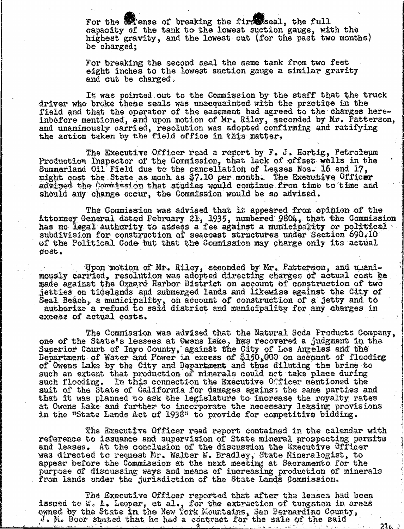For the **W**ense of breaking the firs seal, the full capacity of the tank to the lowest suction gauge, with the highest gravity, and the lowest cut (for the past two months) be charged;

For breaking the second seal the same tank from two feet eight inches to the lowest, suction gauge a similar gravity and cut be charged.

It was pointed out to the Commission by the staff that the truck driver who broke these seals was unacquainted with the practice in the field and that the operator of the easement had agreed to the charges hereinbefore mentioned, and upon motion of Mr. Riley, seconded by Mr. Patterson, and unanimously carried, resolution was adopted confirming and ratifying the action taken by the field office in this matter.

The Executive Officer read a report by F. J. Hortig, Petroleum Production Inspector of the Commission, that lack of offset wells in the Summerland Oil Field due to the cancellation of Leases Nos. 16 and 17, might cost the State as much as \$7.10 per month. The Executive Officer advised the Commission that studies would continue from time to time and should any change occur, the Commission would be so advised.

The Commission was advised that it appeared from opinion of the Attorney General dated February 21, 1935, numbered 9804, that the Commission has no legal authority to assess a fee against a municipality or political subdivision for construction of seacoast structures under Section 690.10 of the Political Code but that the Commission may charge only its actual cost.

Upon motion of Mr. Riley, seconded by Mr. Patterson, and wanimously carried, resolution was adopted directing charges of actual cost be made against the Oxnard Harbor District on account of construction of two jetties on tidelands and submerged lands and likewise against the City of  $\texttt{Sea1}$  Beach, a municipality, on account of construction of a authorize a refund to said district and municipalit excess of actual costs.

The Commission was advised that the Natural Soda Products Company, one of the State's lessees at Owens Lake, has recovered a judgment in the Superior Court of Inyo County, against the City of Los Angeles and the Lity of Los Angeles and the theory of  $\frac{1}{2}$  $D$ epartment of Water and Power in excess of  $$150,000$  on account of of Owens Lake by the City and Department and thus diluting the brine to such an extent that production of minerals could not take place during such flooding. In this connection the Executive  $0$  ficer mentioned the suit of the State of California for damages agains"; the same parties and that it was planned to ask the legislature to increase the royalty rates at Owens Lake and further to incorporate the necessary leasing provisions in the "State Lands Act of 1938" to provide for competitive bidding.

The Executive Officer read report contained in the calendar with reference to issuance and supervision of State mineral prospecting permits and leases. At the conclusion of the discussion the Executive Officer was directed to request Mr. Walter W. Bradley, State Miner appear before the Commission at the next meeting at Sacram purpose of discussing ways and means of increasing production of minerals from lands under the jurisdiction of the State Lands Commission.

The Executive Officer reported that after the leases hassued to W. A. Leeper, et al., for the extraction of tungsten in owned by the State in the New York Mountains, San Bern J. Me Door stated that he had a contract for the sale of the said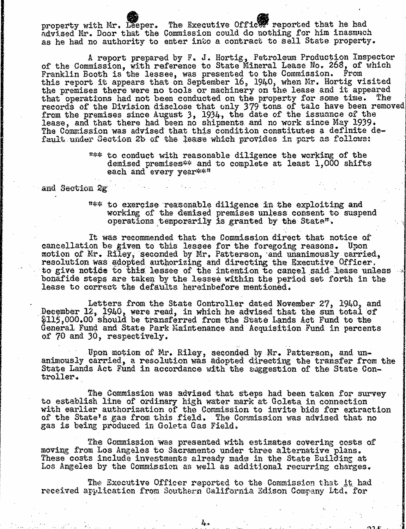property with Mr. Leeper. The Executive Officer reported that he had advised Mr. Door that the Commission could do nothing for him inasmuch as he had no authority to enter into a contract to sell State property.

A report prepared by F. J. Hortig, Petroleum Production<br>Of the Commission, with reference to State Mineral Lease No. 268, Franklin Booth is the lessee, was presented to the Comm this report it appears that on September 16, 1940, when Mr. Hortig visited the premises there were no tools or machinery on the lease and it appeared the premises there were no tools or machinery on the lease and it appeared that operations had not been conducted on the property for some time. The that operations had not been conducted on the property for some time. records of the Division disclose that only 379 tons of talc h from the premises since August 3, 1934, the date of the issuance of the lease, and that there had been no shipments and no work since May 1939. The Commission was advised that this condition constitutes a definite default under Section 2b of the lease which provides in part as follows:

> "\*\* to conduct with reasonable diligence the working of the demised premises \* and to complete at least 1,000 shifts each and every year\*\*\*

and Section 2g

"\*\* to exercise reasonable diligence in the exploiting and working of the demised premises unless consent to suspend operations temporarily is granted by the State".

It was recommended that the Commission direct that notice of cancellation be given to this lessee for the foregoing reasons. Upon motion of Mr. Riley, seconded by Mr, Patterson, and unanimously carried, resolution was adopted authorizing and directing the Executive Officer. to give notice to this lessee of the intention to cancel said lease unless bonafide steps are taken by the lessee within the period set forth in the lease to correct the defaults hereinbefore mentioned.

Letters from the State Controller dated November 27, 1940, and<br>December 12, 1940, were read, in which he advised that the sum total of \$[115,000.00](https://115,000.00) should be transferred from the State Lands Act Fund to the General Fund and State Park Maintenance and Acquisition Fund in percents of 70 and 30, respectively.

Upon motion of Mr. Riley, seconded by Mr. Patterson, and un- animously carried, a resolution was adopted directing the transfer from the State Lands Act Fund in accordance with the suggestion of the State Controller.

The Commission was advised that steps had been taken for survey to establish line of ordinary high water mark at Goleta in connection with earlier authorization of the Commission to invite  $b$ of the State's gas from this field. The Commission was advised that no gas is being produced in Goleta Gas Field.

The Commission was presented with estimates covering costs of moving from Los Angeles to Sacramento under three alternative plans. These costs include investments already made in the State Building at Los Angeles by the Commission as well as additional recurring charges.

The Executive Officer reported to the Commission that it had received application from Southern California Edison Company Led. for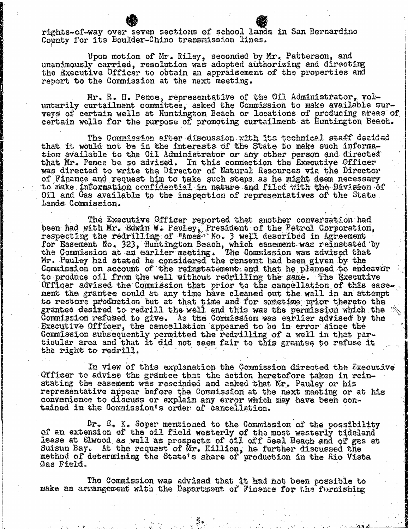rights-of-way over seven sections of school lands in San Bernardino County for its Boulder-Chino transmission lines.

Upon motion of Mr. Riley, seconded by Mr. Patterson, and unanimously carried, resolution was adopted authorizing and directing the Executive Officer to obtain an appraisement of the properties and report to the Commission at the next meeting.

Mr. R. H. Pence, representative of the Oil Administrator, vol- untarily curtailment committee, asked the Commission to make available surveys of certain wells at Huntington Beach or locations of producing areas of certain wells for the purpose of promoting curtailment at Huntington Beach.

The Commission after discussion with its technical staff decided that it would not be in the interests of the State to make such information available to the Oil Administrator or any other person and directed that Mr. Pence be so advised. In this connection the Executive Officer was directed to write the Director of Natural Resources via the Director of Finance and request him to take such steps. as he might deem necessary to make information confidential in nature and filed with the Division of Oil and Gas available to the inspection of representatives of the State Lands Commission.

The Executive Officer reported that another conversation had been had with Mr. Edwin W. Pauley, President of the Petrol Co respecting the redrilling of "Ames" No. 3 well describe for Easement No. 323, Huntington Beach, which easement was reinst the Commission at an earlier meeting. The Commission was adv Mr. Pauley had stated he considered the consent had been given by the Commission on account of the reinstatement and that he planned to endeavor to produce oil from the well without redrilling the same. The Executive Officer advised the Commission that prior to the cancellation of this easement the grantee could at any time have cleaned out the well in an attempt to restore production out at that time and for sometime prior thereto the grantee desired to redrill the well and this was the permission which the Commission refused to give. As the Commission was earlier advised by the Executive Officer, the cancellation appeared to be in error since the Commission subsequently permitted the redrilling of a well in that particular area and that it did not seem fair to this grantee to refuse it the right to redrill.

In view of this explanation the Commission directed the Executive Officer to advise the grantee that the action heretofore taken in reinstating the easement was rescinded and asked that Mr. Pauley or his representative appear before the Commission at the next meeting or at his convenience to discuss or explain any error which may have been contained in the Commission's order of cancellation.

Dr. E. K. Soper mentioned to the Commission of the possibility<br>of an extension of the oil field westerly of the most westerly tideland lease at Elwood as well as prospects of oil off Seal Beach and of gas at Suisun Bay. At the request of Mr. Killion, he further discussed the method of determining the State's share of production in the Rio Vista Gas Field.

The Commission was advised that it had not been possible to make an arrangement with the Department of Finance for the furnishing